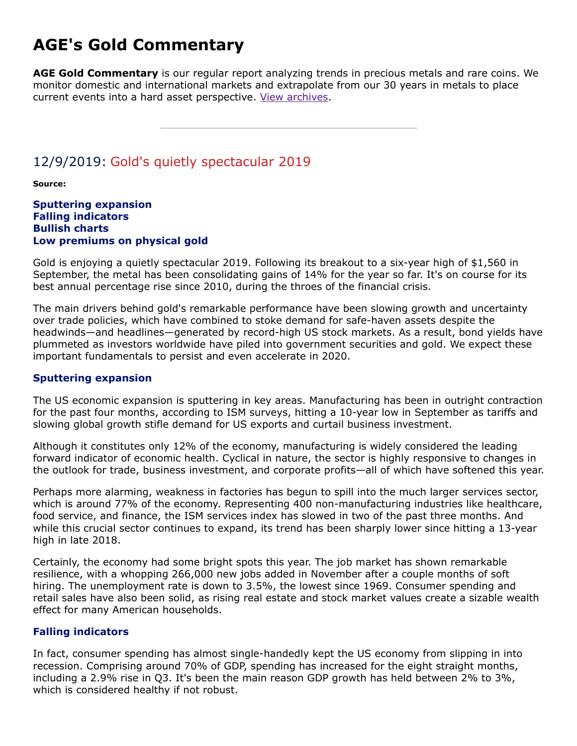# **AGE's Gold Commentary**

**AGE Gold Commentary** is our regular report analyzing trends in precious metals and rare coins. We monitor domestic and international markets and extrapolate from our 30 years in metals to place current events into a hard asset perspective. [View archives.](https://www.amergold.com/gold-news-info/gold-commentary-archives.php)

# 12/9/2019: Gold's quietly spectacular 2019

**Source:**

**Sputtering expansion Falling indicators Bullish charts Low premiums on physical gold**

Gold is enjoying a quietly spectacular 2019. Following its breakout to a six-year high of \$1,560 in September, the metal has been consolidating gains of 14% for the year so far. It's on course for its best annual percentage rise since 2010, during the throes of the financial crisis.

The main drivers behind gold's remarkable performance have been slowing growth and uncertainty over trade policies, which have combined to stoke demand for safe-haven assets despite the headwinds—and headlines—generated by record-high US stock markets. As a result, bond yields have plummeted as investors worldwide have piled into government securities and gold. We expect these important fundamentals to persist and even accelerate in 2020.

#### **Sputtering expansion**

The US economic expansion is sputtering in key areas. Manufacturing has been in outright contraction for the past four months, according to ISM surveys, hitting a 10-year low in September as tariffs and slowing global growth stifle demand for US exports and curtail business investment.

Although it constitutes only 12% of the economy, manufacturing is widely considered the leading forward indicator of economic health. Cyclical in nature, the sector is highly responsive to changes in the outlook for trade, business investment, and corporate profits—all of which have softened this year.

Perhaps more alarming, weakness in factories has begun to spill into the much larger services sector, which is around 77% of the economy. Representing 400 non-manufacturing industries like healthcare, food service, and finance, the ISM services index has slowed in two of the past three months. And while this crucial sector continues to expand, its trend has been sharply lower since hitting a 13-year high in late 2018.

Certainly, the economy had some bright spots this year. The job market has shown remarkable resilience, with a whopping 266,000 new jobs added in November after a couple months of soft hiring. The unemployment rate is down to 3.5%, the lowest since 1969. Consumer spending and retail sales have also been solid, as rising real estate and stock market values create a sizable wealth effect for many American households.

# **Falling indicators**

In fact, consumer spending has almost single-handedly kept the US economy from slipping in into recession. Comprising around 70% of GDP, spending has increased for the eight straight months, including a 2.9% rise in Q3. It's been the main reason GDP growth has held between 2% to 3%, which is considered healthy if not robust.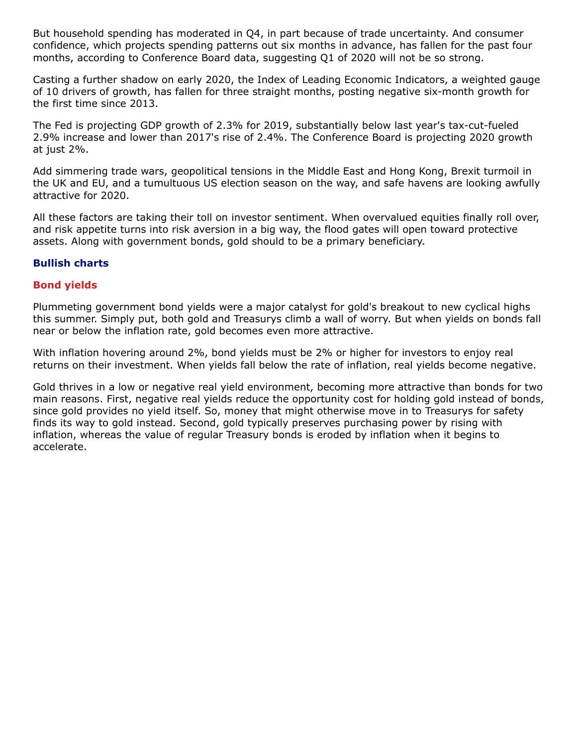But household spending has moderated in Q4, in part because of trade uncertainty. And consumer confidence, which projects spending patterns out six months in advance, has fallen for the past four months, according to Conference Board data, suggesting Q1 of 2020 will not be so strong.

Casting a further shadow on early 2020, the Index of Leading Economic Indicators, a weighted gauge of 10 drivers of growth, has fallen for three straight months, posting negative six-month growth for the first time since 2013.

The Fed is projecting GDP growth of 2.3% for 2019, substantially below last year's tax-cut-fueled 2.9% increase and lower than 2017's rise of 2.4%. The Conference Board is projecting 2020 growth at just 2%.

Add simmering trade wars, geopolitical tensions in the Middle East and Hong Kong, Brexit turmoil in the UK and EU, and a tumultuous US election season on the way, and safe havens are looking awfully attractive for 2020.

All these factors are taking their toll on investor sentiment. When overvalued equities finally roll over, and risk appetite turns into risk aversion in a big way, the flood gates will open toward protective assets. Along with government bonds, gold should to be a primary beneficiary.

# **Bullish charts**

# **Bond yields**

Plummeting government bond yields were a major catalyst for gold's breakout to new cyclical highs this summer. Simply put, both gold and Treasurys climb a wall of worry. But when yields on bonds fall near or below the inflation rate, gold becomes even more attractive.

With inflation hovering around 2%, bond yields must be 2% or higher for investors to enjoy real returns on their investment. When yields fall below the rate of inflation, real yields become negative.

Gold thrives in a low or negative real yield environment, becoming more attractive than bonds for two main reasons. First, negative real yields reduce the opportunity cost for holding gold instead of bonds, since gold provides no yield itself. So, money that might otherwise move in to Treasurys for safety finds its way to gold instead. Second, gold typically preserves purchasing power by rising with inflation, whereas the value of regular Treasury bonds is eroded by inflation when it begins to accelerate.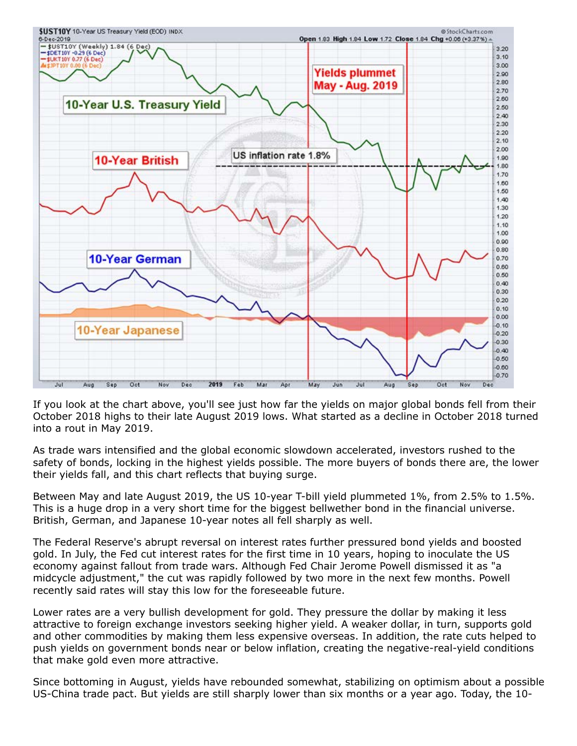

If you look at the chart above, you'll see just how far the yields on major global bonds fell from their October 2018 highs to their late August 2019 lows. What started as a decline in October 2018 turned into a rout in May 2019.

As trade wars intensified and the global economic slowdown accelerated, investors rushed to the safety of bonds, locking in the highest yields possible. The more buyers of bonds there are, the lower their yields fall, and this chart reflects that buying surge.

Between May and late August 2019, the US 10-year T-bill yield plummeted 1%, from 2.5% to 1.5%. This is a huge drop in a very short time for the biggest bellwether bond in the financial universe. British, German, and Japanese 10-year notes all fell sharply as well.

The Federal Reserve's abrupt reversal on interest rates further pressured bond yields and boosted gold. In July, the Fed cut interest rates for the first time in 10 years, hoping to inoculate the US economy against fallout from trade wars. Although Fed Chair Jerome Powell dismissed it as "a midcycle adjustment," the cut was rapidly followed by two more in the next few months. Powell recently said rates will stay this low for the foreseeable future.

Lower rates are a very bullish development for gold. They pressure the dollar by making it less attractive to foreign exchange investors seeking higher yield. A weaker dollar, in turn, supports gold and other commodities by making them less expensive overseas. In addition, the rate cuts helped to push yields on government bonds near or below inflation, creating the negative-real-yield conditions that make gold even more attractive.

Since bottoming in August, yields have rebounded somewhat, stabilizing on optimism about a possible US-China trade pact. But yields are still sharply lower than six months or a year ago. Today, the 10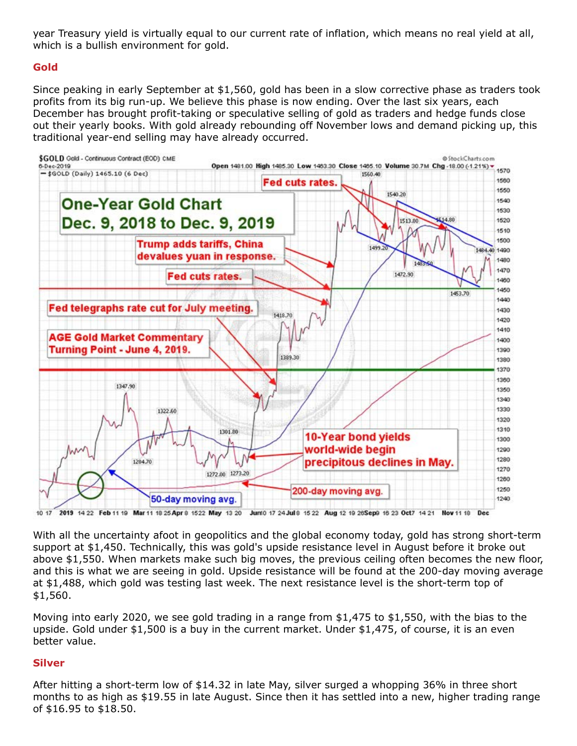year Treasury yield is virtually equal to our current rate of inflation, which means no real yield at all, which is a bullish environment for gold.

### **Gold**

Since peaking in early September at \$1,560, gold has been in a slow corrective phase as traders took profits from its big run-up. We believe this phase is now ending. Over the last six years, each December has brought profit-taking or speculative selling of gold as traders and hedge funds close out their yearly books. With gold already rebounding off November lows and demand picking up, this traditional year-end selling may have already occurred.



2019 14 22 Feb 11 19 Mar 11 18 25 Apr 8 15 22 May 13 20 Junt0 17 24 Jul 8 15 22 Aug 12 10 26 Sept 16 23 Oct7 14 21 Nov 11 18 Dec  $10.17$ 

With all the uncertainty afoot in geopolitics and the global economy today, gold has strong short-term support at \$1,450. Technically, this was gold's upside resistance level in August before it broke out above \$1,550. When markets make such big moves, the previous ceiling often becomes the new floor, and this is what we are seeing in gold. Upside resistance will be found at the 200-day moving average at \$1,488, which gold was testing last week. The next resistance level is the short-term top of \$1,560.

Moving into early 2020, we see gold trading in a range from \$1,475 to \$1,550, with the bias to the upside. Gold under \$1,500 is a buy in the current market. Under \$1,475, of course, it is an even better value.

#### **Silver**

After hitting a short-term low of \$14.32 in late May, silver surged a whopping 36% in three short months to as high as \$19.55 in late August. Since then it has settled into a new, higher trading range of \$16.95 to \$18.50.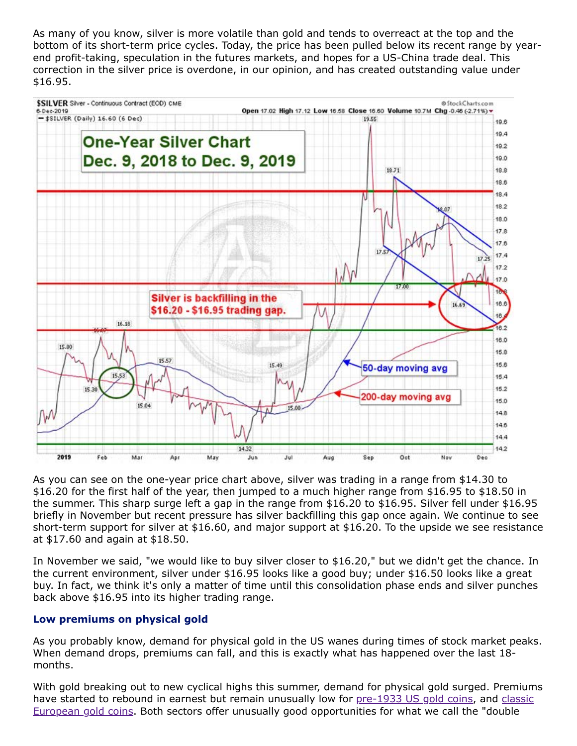As many of you know, silver is more volatile than gold and tends to overreact at the top and the bottom of its short-term price cycles. Today, the price has been pulled below its recent range by yearend profit-taking, speculation in the futures markets, and hopes for a US-China trade deal. This correction in the silver price is overdone, in our opinion, and has created outstanding value under \$16.95.



As you can see on the one-year price chart above, silver was trading in a range from \$14.30 to \$16.20 for the first half of the year, then jumped to a much higher range from \$16.95 to \$18.50 in the summer. This sharp surge left a gap in the range from \$16.20 to \$16.95. Silver fell under \$16.95 briefly in November but recent pressure has silver backfilling this gap once again. We continue to see short-term support for silver at \$16.60, and major support at \$16.20. To the upside we see resistance at \$17.60 and again at \$18.50.

In November we said, "we would like to buy silver closer to \$16.20," but we didn't get the chance. In the current environment, silver under \$16.95 looks like a good buy; under \$16.50 looks like a great buy. In fact, we think it's only a matter of time until this consolidation phase ends and silver punches back above \$16.95 into its higher trading range.

# **Low premiums on physical gold**

As you probably know, demand for physical gold in the US wanes during times of stock market peaks. When demand drops, premiums can fall, and this is exactly what has happened over the last 18 months.

With gold breaking out to new cyclical highs this summer, demand for physical gold surged. Premiums [have started to rebound in earnest but remain unusually low for pre-1933 US gold coins, and classic](https://www.amergold.com/gold/world-gold-coins/index.php) European gold coins. Both sectors offer unusually good opportunities for what we call the "double